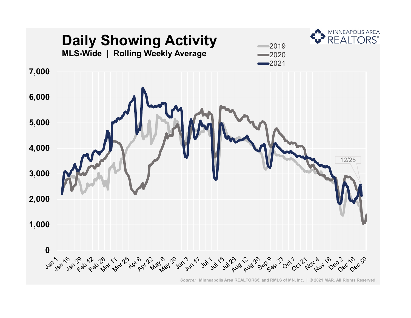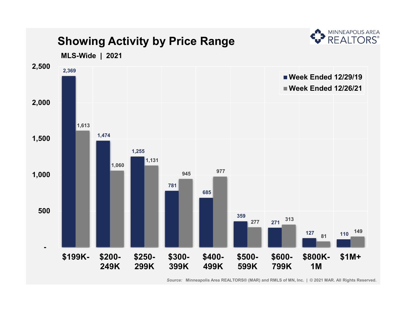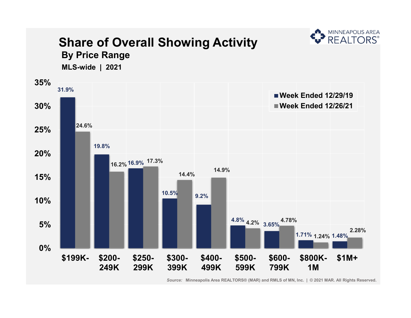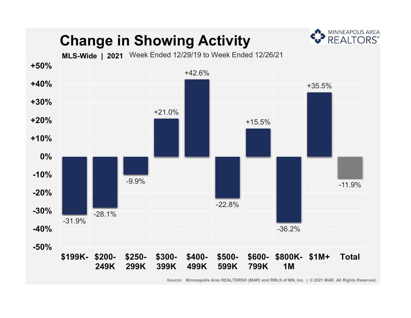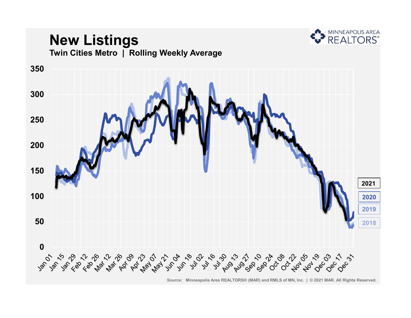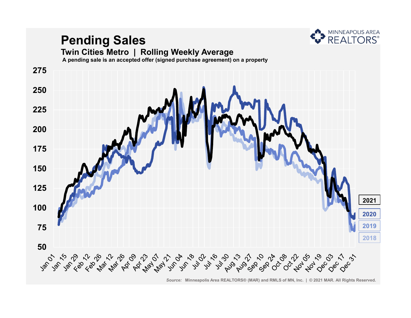

# **Pending Sales**

#### **Twin Cities Metro | Rolling Weekly Average**

**A pending sale is an accepted offer (signed purchase agreement) on a property**

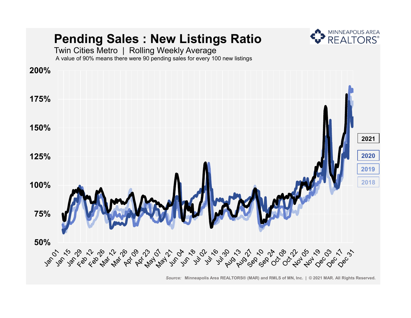

*Source:* **Minneapolis Area REALTORS® (MAR) and RMLS of MN, Inc. | © 2021 MAR. All Rights Reserved.**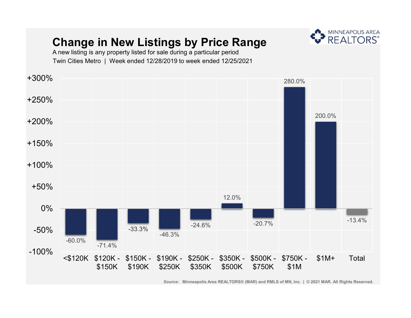#### **Change in New Listings by Price Range**



A new listing is any property listed for sale during a particular period Twin Cities Metro | Week ended 12/28/2019 to week ended 12/25/2021

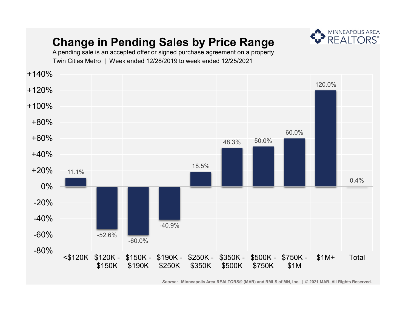## **Change in Pending Sales by Price Range**



A pending sale is an accepted offer or signed purchase agreement on a property Twin Cities Metro | Week ended 12/28/2019 to week ended 12/25/2021

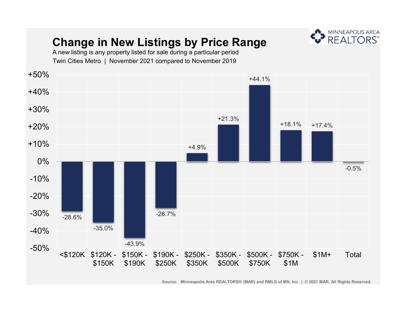## **Change in New Listings by Price Range**



A new listing is any property listed for sale during a particular period Twin Cities Metro | November 2021 compared to November 2019

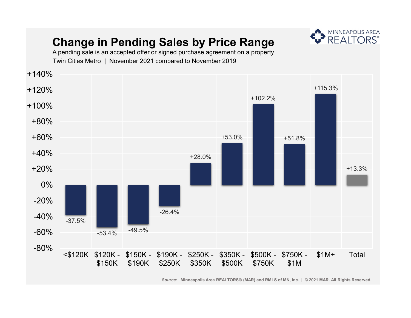## **Change in Pending Sales by Price Range**



A pending sale is an accepted offer or signed purchase agreement on a property Twin Cities Metro | November 2021 compared to November 2019